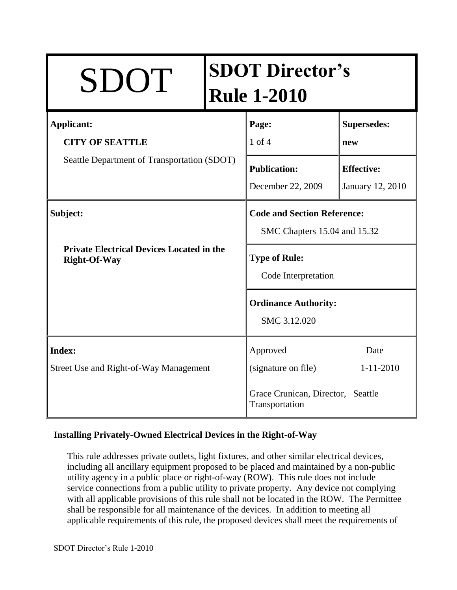| SDOT                                                                                       |  | <b>SDOT Director's</b><br><b>Rule 1-2010</b>                       |                                       |
|--------------------------------------------------------------------------------------------|--|--------------------------------------------------------------------|---------------------------------------|
| <b>Applicant:</b><br><b>CITY OF SEATTLE</b><br>Seattle Department of Transportation (SDOT) |  | Page:<br>$1$ of $4$                                                | <b>Supersedes:</b><br>new             |
|                                                                                            |  | <b>Publication:</b><br>December 22, 2009                           | <b>Effective:</b><br>January 12, 2010 |
| Subject:<br><b>Private Electrical Devices Located in the</b><br><b>Right-Of-Way</b>        |  | <b>Code and Section Reference:</b><br>SMC Chapters 15.04 and 15.32 |                                       |
|                                                                                            |  | <b>Type of Rule:</b><br>Code Interpretation                        |                                       |
|                                                                                            |  | <b>Ordinance Authority:</b><br>SMC 3.12.020                        |                                       |
| <b>Index:</b><br>Street Use and Right-of-Way Management                                    |  | Approved<br>(signature on file)                                    | Date<br>$1 - 11 - 2010$               |
|                                                                                            |  | Grace Crunican, Director, Seattle<br>Transportation                |                                       |

### **Installing Privately-Owned Electrical Devices in the Right-of-Way**

This rule addresses private outlets, light fixtures, and other similar electrical devices, including all ancillary equipment proposed to be placed and maintained by a non-public utility agency in a public place or right-of-way (ROW). This rule does not include service connections from a public utility to private property. Any device not complying with all applicable provisions of this rule shall not be located in the ROW. The Permittee shall be responsible for all maintenance of the devices. In addition to meeting all applicable requirements of this rule, the proposed devices shall meet the requirements of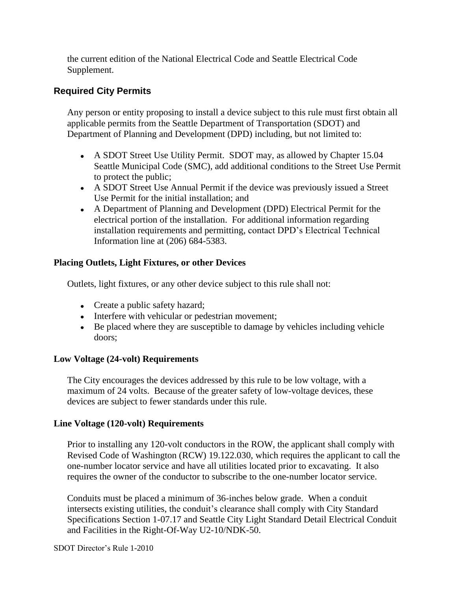the current edition of the National Electrical Code and Seattle Electrical Code Supplement.

# **Required City Permits**

Any person or entity proposing to install a device subject to this rule must first obtain all applicable permits from the Seattle Department of Transportation (SDOT) and Department of Planning and Development (DPD) including, but not limited to:

- A SDOT Street Use Utility Permit. SDOT may, as allowed by Chapter 15.04 Seattle Municipal Code (SMC), add additional conditions to the Street Use Permit to protect the public;
- A SDOT Street Use Annual Permit if the device was previously issued a Street Use Permit for the initial installation; and
- A Department of Planning and Development (DPD) Electrical Permit for the electrical portion of the installation. For additional information regarding installation requirements and permitting, contact DPD's Electrical Technical Information line at (206) 684-5383.

### **Placing Outlets, Light Fixtures, or other Devices**

Outlets, light fixtures, or any other device subject to this rule shall not:

- Create a public safety hazard;
- Interfere with vehicular or pedestrian movement;
- Be placed where they are susceptible to damage by vehicles including vehicle doors;

### **Low Voltage (24-volt) Requirements**

The City encourages the devices addressed by this rule to be low voltage, with a maximum of 24 volts. Because of the greater safety of low-voltage devices, these devices are subject to fewer standards under this rule.

### **Line Voltage (120-volt) Requirements**

Prior to installing any 120-volt conductors in the ROW, the applicant shall comply with Revised Code of Washington (RCW) 19.122.030, which requires the applicant to call the one-number locator service and have all utilities located prior to excavating. It also requires the owner of the conductor to subscribe to the one-number locator service.

Conduits must be placed a minimum of 36-inches below grade. When a conduit intersects existing utilities, the conduit's clearance shall comply with City Standard Specifications Section 1-07.17 and Seattle City Light Standard Detail Electrical Conduit and Facilities in the Right-Of-Way U2-10/NDK-50.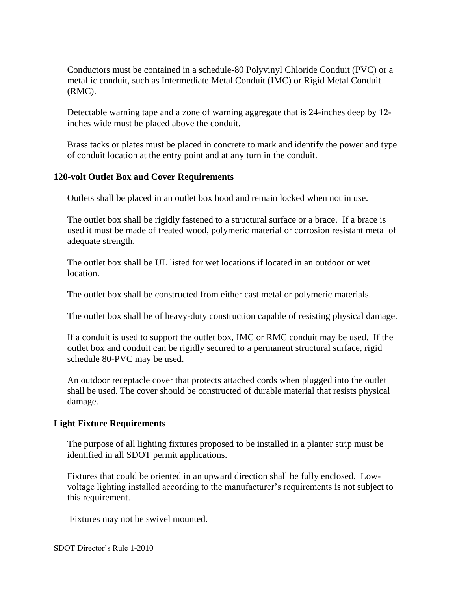Conductors must be contained in a schedule-80 Polyvinyl Chloride Conduit (PVC) or a metallic conduit, such as Intermediate Metal Conduit (IMC) or Rigid Metal Conduit (RMC).

Detectable warning tape and a zone of warning aggregate that is 24-inches deep by 12 inches wide must be placed above the conduit.

Brass tacks or plates must be placed in concrete to mark and identify the power and type of conduit location at the entry point and at any turn in the conduit.

### **120-volt Outlet Box and Cover Requirements**

Outlets shall be placed in an outlet box hood and remain locked when not in use.

The outlet box shall be rigidly fastened to a structural surface or a brace. If a brace is used it must be made of treated wood, polymeric material or corrosion resistant metal of adequate strength.

The outlet box shall be UL listed for wet locations if located in an outdoor or wet location.

The outlet box shall be constructed from either cast metal or polymeric materials.

The outlet box shall be of heavy-duty construction capable of resisting physical damage.

If a conduit is used to support the outlet box, IMC or RMC conduit may be used. If the outlet box and conduit can be rigidly secured to a permanent structural surface, rigid schedule 80-PVC may be used.

An outdoor receptacle cover that protects attached cords when plugged into the outlet shall be used. The cover should be constructed of durable material that resists physical damage.

### **Light Fixture Requirements**

The purpose of all lighting fixtures proposed to be installed in a planter strip must be identified in all SDOT permit applications.

Fixtures that could be oriented in an upward direction shall be fully enclosed. Lowvoltage lighting installed according to the manufacturer's requirements is not subject to this requirement.

Fixtures may not be swivel mounted.